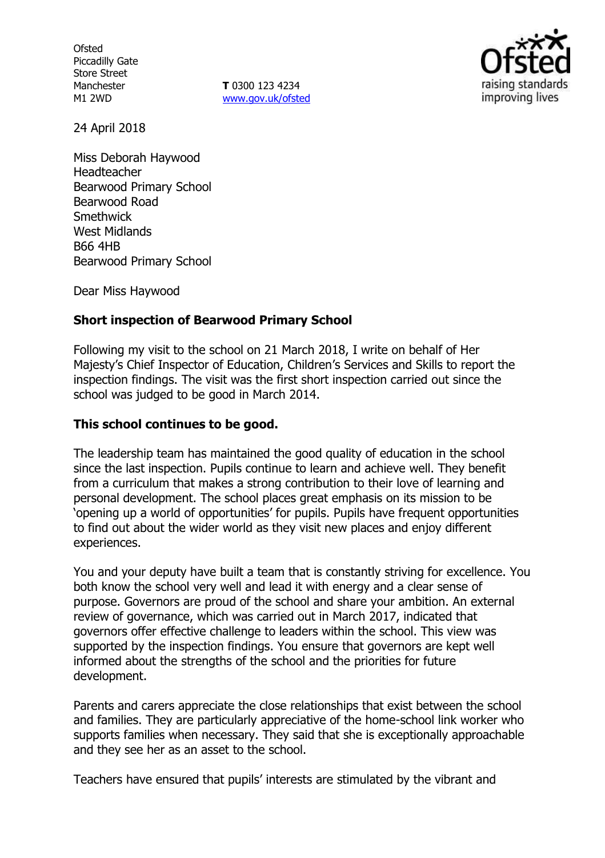**Ofsted** Piccadilly Gate Store Street Manchester M1 2WD

**T** 0300 123 4234 www.gov.uk/ofsted



24 April 2018

Miss Deborah Haywood Headteacher Bearwood Primary School Bearwood Road **Smethwick** West Midlands B66 4HB Bearwood Primary School

Dear Miss Haywood

# **Short inspection of Bearwood Primary School**

Following my visit to the school on 21 March 2018, I write on behalf of Her Majesty's Chief Inspector of Education, Children's Services and Skills to report the inspection findings. The visit was the first short inspection carried out since the school was judged to be good in March 2014.

## **This school continues to be good.**

The leadership team has maintained the good quality of education in the school since the last inspection. Pupils continue to learn and achieve well. They benefit from a curriculum that makes a strong contribution to their love of learning and personal development. The school places great emphasis on its mission to be 'opening up a world of opportunities' for pupils. Pupils have frequent opportunities to find out about the wider world as they visit new places and enjoy different experiences.

You and your deputy have built a team that is constantly striving for excellence. You both know the school very well and lead it with energy and a clear sense of purpose. Governors are proud of the school and share your ambition. An external review of governance, which was carried out in March 2017, indicated that governors offer effective challenge to leaders within the school. This view was supported by the inspection findings. You ensure that governors are kept well informed about the strengths of the school and the priorities for future development.

Parents and carers appreciate the close relationships that exist between the school and families. They are particularly appreciative of the home-school link worker who supports families when necessary. They said that she is exceptionally approachable and they see her as an asset to the school.

Teachers have ensured that pupils' interests are stimulated by the vibrant and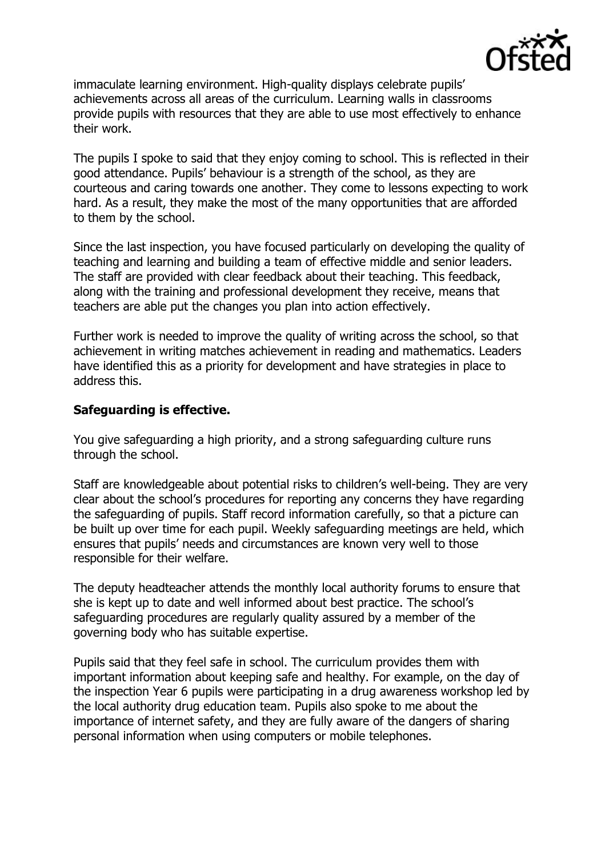

immaculate learning environment. High-quality displays celebrate pupils' achievements across all areas of the curriculum. Learning walls in classrooms provide pupils with resources that they are able to use most effectively to enhance their work.

The pupils I spoke to said that they enjoy coming to school. This is reflected in their good attendance. Pupils' behaviour is a strength of the school, as they are courteous and caring towards one another. They come to lessons expecting to work hard. As a result, they make the most of the many opportunities that are afforded to them by the school.

Since the last inspection, you have focused particularly on developing the quality of teaching and learning and building a team of effective middle and senior leaders. The staff are provided with clear feedback about their teaching. This feedback, along with the training and professional development they receive, means that teachers are able put the changes you plan into action effectively.

Further work is needed to improve the quality of writing across the school, so that achievement in writing matches achievement in reading and mathematics. Leaders have identified this as a priority for development and have strategies in place to address this.

## **Safeguarding is effective.**

You give safeguarding a high priority, and a strong safeguarding culture runs through the school.

Staff are knowledgeable about potential risks to children's well-being. They are very clear about the school's procedures for reporting any concerns they have regarding the safeguarding of pupils. Staff record information carefully, so that a picture can be built up over time for each pupil. Weekly safeguarding meetings are held, which ensures that pupils' needs and circumstances are known very well to those responsible for their welfare.

The deputy headteacher attends the monthly local authority forums to ensure that she is kept up to date and well informed about best practice. The school's safeguarding procedures are regularly quality assured by a member of the governing body who has suitable expertise.

Pupils said that they feel safe in school. The curriculum provides them with important information about keeping safe and healthy. For example, on the day of the inspection Year 6 pupils were participating in a drug awareness workshop led by the local authority drug education team. Pupils also spoke to me about the importance of internet safety, and they are fully aware of the dangers of sharing personal information when using computers or mobile telephones.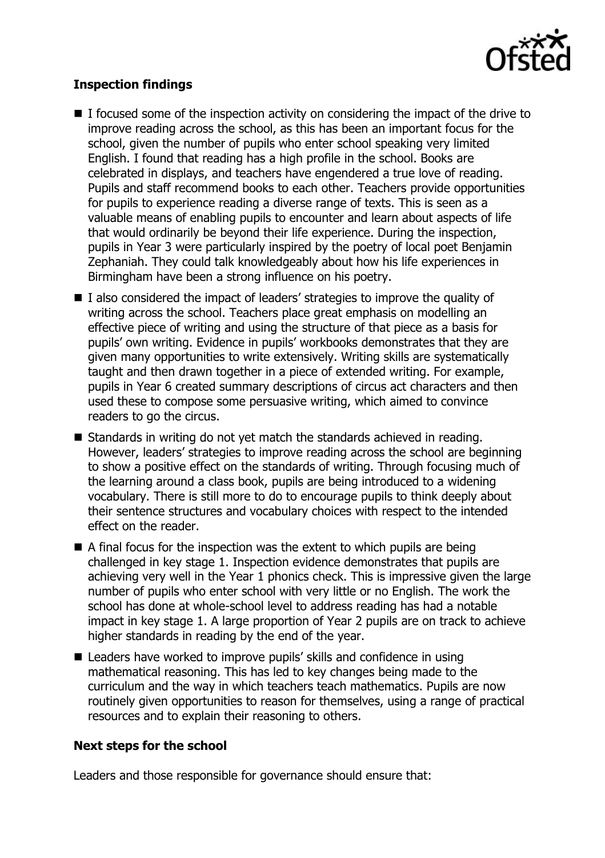

# **Inspection findings**

- $\blacksquare$  I focused some of the inspection activity on considering the impact of the drive to improve reading across the school, as this has been an important focus for the school, given the number of pupils who enter school speaking very limited English. I found that reading has a high profile in the school. Books are celebrated in displays, and teachers have engendered a true love of reading. Pupils and staff recommend books to each other. Teachers provide opportunities for pupils to experience reading a diverse range of texts. This is seen as a valuable means of enabling pupils to encounter and learn about aspects of life that would ordinarily be beyond their life experience. During the inspection, pupils in Year 3 were particularly inspired by the poetry of local poet Benjamin Zephaniah. They could talk knowledgeably about how his life experiences in Birmingham have been a strong influence on his poetry.
- I also considered the impact of leaders' strategies to improve the quality of writing across the school. Teachers place great emphasis on modelling an effective piece of writing and using the structure of that piece as a basis for pupils' own writing. Evidence in pupils' workbooks demonstrates that they are given many opportunities to write extensively. Writing skills are systematically taught and then drawn together in a piece of extended writing. For example, pupils in Year 6 created summary descriptions of circus act characters and then used these to compose some persuasive writing, which aimed to convince readers to go the circus.
- Standards in writing do not yet match the standards achieved in reading. However, leaders' strategies to improve reading across the school are beginning to show a positive effect on the standards of writing. Through focusing much of the learning around a class book, pupils are being introduced to a widening vocabulary. There is still more to do to encourage pupils to think deeply about their sentence structures and vocabulary choices with respect to the intended effect on the reader.
- $\blacksquare$  A final focus for the inspection was the extent to which pupils are being challenged in key stage 1. Inspection evidence demonstrates that pupils are achieving very well in the Year 1 phonics check. This is impressive given the large number of pupils who enter school with very little or no English. The work the school has done at whole-school level to address reading has had a notable impact in key stage 1. A large proportion of Year 2 pupils are on track to achieve higher standards in reading by the end of the year.
- Leaders have worked to improve pupils' skills and confidence in using mathematical reasoning. This has led to key changes being made to the curriculum and the way in which teachers teach mathematics. Pupils are now routinely given opportunities to reason for themselves, using a range of practical resources and to explain their reasoning to others.

## **Next steps for the school**

Leaders and those responsible for governance should ensure that: